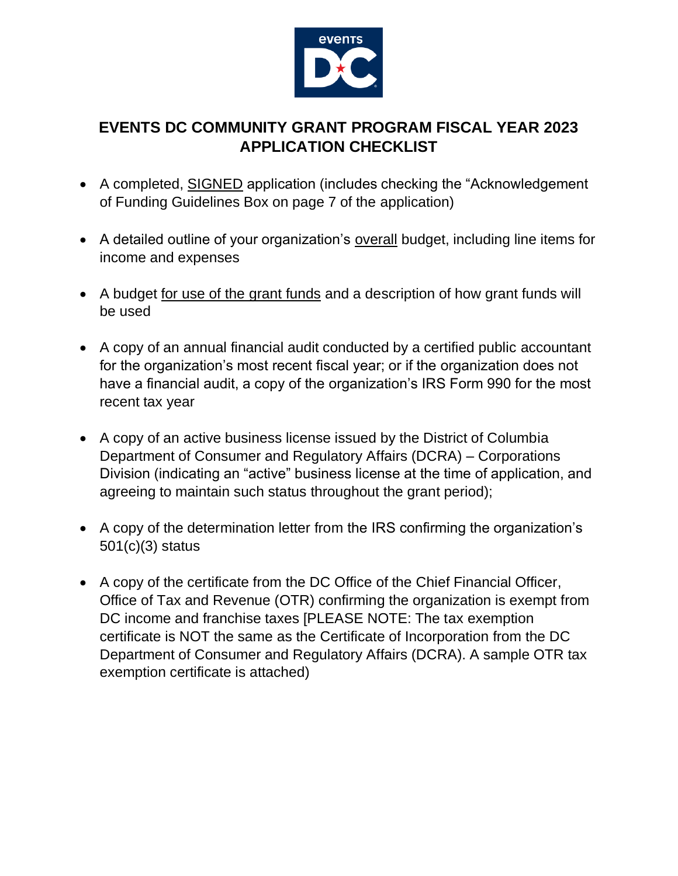

# **EVENTS DC COMMUNITY GRANT PROGRAM FISCAL YEAR 2023 APPLICATION CHECKLIST**

- A completed, SIGNED application (includes checking the "Acknowledgement of Funding Guidelines Box on page 7 of the application)
- A detailed outline of your organization's overall budget, including line items for income and expenses
- A budget for use of the grant funds and a description of how grant funds will be used
- A copy of an annual financial audit conducted by a certified public accountant for the organization's most recent fiscal year; or if the organization does not have a financial audit, a copy of the organization's IRS Form 990 for the most recent tax year
- A copy of an active business license issued by the District of Columbia Department of Consumer and Regulatory Affairs (DCRA) – Corporations Division (indicating an "active" business license at the time of application, and agreeing to maintain such status throughout the grant period);
- A copy of the determination letter from the IRS confirming the organization's 501(c)(3) status
- A copy of the certificate from the DC Office of the Chief Financial Officer, Office of Tax and Revenue (OTR) confirming the organization is exempt from DC income and franchise taxes [PLEASE NOTE: The tax exemption certificate is NOT the same as the Certificate of Incorporation from the DC Department of Consumer and Regulatory Affairs (DCRA). A sample OTR tax exemption certificate is attached)